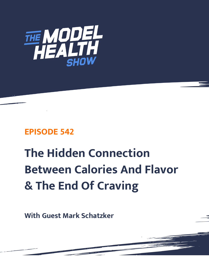

## **EPISODE 542**

# **The Hidden Connection Between Calories And Flavor & The End Of Craving**

**With Guest Mark Schatzker**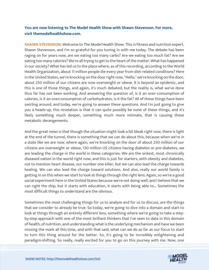### **You are now listening to The Model Health Show with Shawn Stevenson. For more, visit themodelhealthshow.com.**

**SHAWN STEVENSON:** Welcome to The Model Health Show. This is fitness and nutrition expert, Shawn Stevenson, and I'm so grateful for you tuning in with me today. The debate has been raging on for years now, are we eating too many carbs? Are we eating too much fat? Are we eating too many calories? We're all trying to get to the heart of the matter. What has happened in our society? What has led us to the place where, as of this recording, according to the World Health Organization, about 11 million people die every year from diet-related conditions? Here in the United States, we're knocking on the door right now, "Hello," we're knocking on the door, about 250 million of our citizens are now overweight or obese. It is beyond an epidemic, and this is one of those things, and again, it's much debated, but the reality is, what we've done thus far has not been working. And answering the question of, is it an over-consumption of calories, is it an overconsumption of carbohydrates, is it the fat? All of these things have been swirling around, and today, we're going to answer these questions. And I'm just going to give you a heads-up, this revelation is that it can quite possibly be none of these things, and it's likely something much deeper, something much more intimate, that is causing these metabolic derangements.

And the great news is that though the situation might look a bit bleak right now, there is light at the end of the tunnel, there is something that we can do about this, because when we're in a state like we are now, where again, we're knocking on the door of about 250 million of our citizens are overweight or obese, 130 million US citizens having diabetes or pre-diabetes, we are leading the charge in the world in these categories. We are the sickest, most chronically diseased nation in the world right now, and this is just for starters, with obesity and diabetes, not to mention heart disease, our number one killer, but we can also lead the charge towards healing. We can also lead the charge toward solutions. And also, really our world family is getting in on this when we start to look at things through the right lens. Again, so we're a good social experiment here in the United States because we're not doing well, and I believe that we can right the ship, but it starts with education, it starts with being able to... Sometimes the most difficult things to understand are the obvious.

Sometimes the most challenging things for us to analyze and for us to discuss, are the things that we consider to already be true. So today, we're going to dive into a domain and start to look at things through an entirely different lens, something where we're going to take a stepby-step approach with one of the most brilliant thinkers that I've seen to date in this domain of health, of nutrition, and understanding what is the underlying mechanism and have we been missing the mark all this time, and with that said, what can we do as far as our focus to start to turn this thing around for the better. So, it's going to be incredibly enlightening and [paradigm-shifting. So really, really excited for you to go on this journey with me. Now, one](https://themodelhealthshow.com/podcasts/mark-schatzker/) 

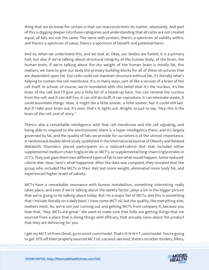thing that we do know for certain is that our macronutrients do matter, absolutely. And part of this is digging deeper into those categories and understanding that all carbs are not created equal, all fats are not the same. The same with protein, there's a spectrum of validity within, and there's a spectrum of value, there's a spectrum of benefit and potential harm.

And so, when we understand this, and we look at, Okay, our bodies are fueled, it is a primary fuel, but also if we're talking about structural integrity of the human body, of the brain, the human brain, if we're talking about the dry weight of the human brain is mostly fat, this matters, we have to give our body the primary building blocks for all of these structures that are dependent upon fat. Our cells could not maintain structure without fat, it's literally what's helping to contain the cell membrane. It's, in many ways, sort of like a version of a brain of the cell itself. In school, of course, we're inundated with this belief that it's the nucleus, it's the brain of the cell, but I'll give you a little bit of a heads-up here. You can remove the nucleus from the cell, and it can still live, it can still do stuff, it can reproduce, it can eliminate waste, it could assimilate things. Now, it might die a little sooner, a little sooner, but it could still last. But if I take your brain out, it's over, that's it, lights out. Alright, so just to say, "Hey, this is the brain of the cell, end of story."

There's also a remarkable intelligence with that cell membrane and the cell signaling, and being able to respond to the environment, there is a hyper-intelligence there, and it's largely governed by fat, and the quality of fats we provide for ourselves is of the utmost importance. A randomized double-blind study, published in the International Journal of Obesity and Related Metabolic Disorders, placed participants on a reduced-calorie diet that included either supplemental medium-chain triglyceride or MCT's, or supplemental long-chain triglycerides or LCT's. They just gave them two different types of fat to see what would happen. Same reducedcalorie diet. Now, here's what happened. After the data was compiled, they revealed that the group who included the MCTs in their diet lost more weight, eliminated more body fat, and experienced higher levels of satiety.

MCTs have a remarkable resonance with human metabolism, something interesting really takes place, and even if we're talking about the satiety factor, plays a lot in the bigger picture that we're going to be talking about today. But I'm a major fan of MCTs, and this is something that I include literally on a daily basis. I have some MCT oil, but the quality, like everything else, matters most. So, we're not just running out and getting MCTs from company X, because you hear that, "Hey, MCTs are great." We want to make sure that folks are getting things that are sourced from a place that is doing things with efficacy, that actually cares about the product that they are delivering for you.

I get my MCT oil from Onnit, go to onnit.com/model. That's O-N-N-I-T.com/model. You're going [to get 10% off their properly sourced MCT oil, coconut-derived, there](https://themodelhealthshow.com/podcasts/mark-schatzker/)'[s no other binders, fillers,](https://themodelhealthshow.com/podcasts/mark-schatzker/) 

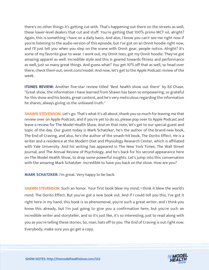there's no other things it's getting cut with. That's happening out there on the streets as well, these lower-level dealers that cut and stuff. You're getting that 100% primo MCT oil, alright? Again, this is something I have on a daily basis. And also, I know you can't see me right now if you're listening to the audio version of this episode, but I've got on an Onnit hoodie right now, and I'll just tell you when you step on the scene with Onnit gear, people notice. Alright? It's some of my favorite gear to wear. I work out, my Onnit tees, got my Onnit hoodie. They've got amazing apparel as well. Incredible style and this is geared towards fitness and performance as well, just so many great things. And guess what? You get 10% off that as well, so head over there, check them out, onnit.com/model. And now, let's get to the Apple Podcast review of the week.

**ITUNES REVIEW:** Another five-star review titled "Best health show out there" by Ed Chase. "Great show, the information I have learned from Shawn has been so empowering, so grateful for this show and his books, great content, and he's very meticulous regarding the information he shares, always giving us the unbiased truth."

**SHAWN STEVENSON:** Let's go. That's what it's all about, thank you so much for leaving me that review over on Apple Podcast, and if you're yet to do so, please pop over to Apple Podcast and leave a review for The Model Health Show. And on that note, let's get to our special guest and topic of the day. Our guest today is Mark Schatzker, he's the author of the brand-new book, The End of Craving, and also, he's the author of the smash-hit book, The Dorito Effect. He is a writer and a residence at the Modern Diet and Physiology Research Center, which is affiliated with Yale University. And his writing has appeared in The New York Times, The Wall Street Journal, and The Annual Review of Psychology, and he's back for his second appearance here on The Model Health Show, to drop some powerful insights. Let's jump into this conversation with the amazing Mark Schatzker. Incredible to have you back on the show. How are you?

**MARK SCHATZKER:** I'm great. Very happy to be back.

**SHAWN STEVENSON:** Such an honor. Your first book blew my mind, I think it blew the world's mind. The Dorito Effect. But you've got a new book out. And if I could tell you this, I've got it right here in my hand, this book is so phenomenal, you're such a great writer, and I think you know this already, but I'm just going to give you a confirmation here, but you're such an incredible writer and storyteller, and so it's just like, it's so interesting, just to read along with you as you're telling these stories. So, man, hats off to you. The End of Craving is out right now. Everybody, make sure you go get a copy.

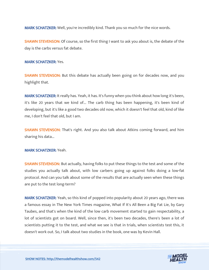MARK SCHATZKER: Well, you're incredibly kind. Thank you so much for the nice words.

**SHAWN STEVENSON:** Of course, so the first thing I want to ask you about is, the debate of the day is the carbs versus fat debate.

MARK SCHATZKER: Yes.

**SHAWN STEVENSON:** But this debate has actually been going on for decades now, and you highlight that.

MARK SCHATZKER: It really has. Yeah, it has. It's funny when you think about how long it's been, it's like 20 years that we kind of... The carb thing has been happening, it's been kind of developing, but it's like a good two decades old now, which it doesn't feel that old, kind of like me, I don't feel that old, but I am.

**SHAWN STEVENSON:** That's right. And you also talk about Atkins coming forward, and him sharing his data...

MARK SCHATZKER: Yeah.

SHAWN STEVENSON: But actually, having folks to put these things to the test and some of the studies you actually talk about, with low carbers going up against folks doing a low-fat protocol. And can you talk about some of the results that are actually seen when these things are put to the test long-term?

MARK SCHATZKER: Yeah, so this kind of popped into popularity about 20 years ago, there was a famous essay in The New York Times magazine, What If It's All Been a Big Fat Lie, by Gary Taubes, and that's when the kind of the low carb movement started to gain respectability, a lot of scientists got on board. Well, since then, it's been two decades, there's been a lot of scientists putting it to the test, and what we see is that in trials, when scientists test this, it doesn't work out. So, I talk about two studies in the book, one was by Kevin Hall.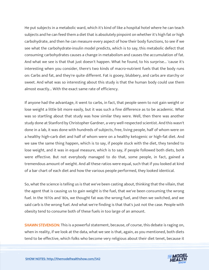He put subjects in a metabolic ward, which it's kind of like a hospital hotel where he can teach subjects and he can feed them a diet that is absolutely pinpoint on whether it's high fat or high carbohydrate, and then he can measure every aspect of how their body functions, to see if we see what the carbohydrate-insulin model predicts, which is to say, this metabolic defect that consuming carbohydrates causes a change in metabolism and causes the accumulation of fat. And what we see is that that just doesn't happen. What he found, to his surprise... 'cause it's interesting when you consider, there's two kinds of macro-nutrient fuels that the body runs on: Carbs and fat, and they're quite different. Fat is gooey, blubbery, and carbs are starchy or sweet. And what was so interesting about this study is that the human body could use them almost exactly... With the exact same rate of efficiency.

If anyone had the advantage, it went to carbs, in fact, that people seem to not gain weight or lose weight a little bit more easily, but it was such a fine difference as to be academic. What was so startling about that study was how similar they were. Well, then there was another study done at Stanford by Christopher Gardner, a very well-respected scientist. And this wasn't done in a lab, it was done with hundreds of subjects, free, living people, half of whom were on a healthy high-carb diet and half of whom were on a healthy ketogenic or high-fat diet. And we saw the same thing happen, which is to say, if people stuck with the diet, they tended to lose weight, and it was in equal measure, which is to say, if people followed both diets, both were effective. But not everybody managed to do that, some people, in fact, gained a tremendous amount of weight. And all these ratios were equal, such that if you looked at kind of a bar chart of each diet and how the various people performed, they looked identical.

So, what the science is telling us is that we've been casting about, thinking that the villain, that the agent that is causing us to gain weight is the fuel, that we've been consuming the wrong fuel. In the 1970s and '80s, we thought fat was the wrong fuel, and then we switched, and we said carb is the wrong fuel. And what we're finding is that that's just not the case. People with obesity tend to consume both of these fuels in too large of an amount.

**SHAWN STEVENSON:** This is a powerful statement, because, of course, this debate is raging on, when in reality, if we look at the data, what we see is that, again, as you mentioned, both diets tend to be effective, which folks who become very religious about their diet tenet, because it

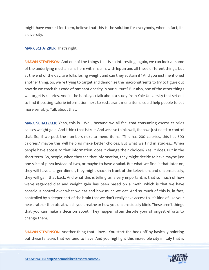might have worked for them, believe that this is the solution for everybody, when in fact, it's a diversity.

#### MARK SCHATZKER: That's right.

**SHAWN STEVENSON:** And one of the things that is so interesting, again, we can look at some of the underlying mechanisms here with insulin, with leptin and all these different things, but at the end of the day, are folks losing weight and can they sustain it? And you just mentioned another thing. So, we're trying to target and demonize the macronutrients to try to figure out how do we crack this code of rampant obesity in our culture? But also, one of the other things we target is calories. And in the book, you talk about a study from Yale University that set out to find if posting calorie information next to restaurant menu items could help people to eat more sensibly. Talk about that.

MARK SCHATZKER: Yeah, this is... Well, because we all feel that consuming excess calories causes weight gain. And I think that is true. And we also think, well, then we just need to control that. So, if we post the numbers next to menu items, "This has 200 calories, this has 500 calories," maybe this will help us make better choices. But what we find in studies... When people have access to that information, does it change their choices? Yes, it does. But in the short term. So, people, when they see that information, they might decide to have maybe just one slice of pizza instead of two, or maybe to have a salad. But what we find is that later on, they will have a larger dinner, they might snack in front of the television, and unconsciously, they will gain that back. And what this is telling us is very important, is that so much of how we've regarded diet and weight gain has been based on a myth, which is that we have conscious control over what we eat and how much we eat. And so much of this is, in fact, controlled by a deeper part of the brain that we don't really have access to. It's kind of like your heart rate or the rate at which you breathe or how you unconsciously blink. These aren't things that you can make a decision about. They happen often despite your strongest efforts to change them.

SHAWN STEVENSON: Another thing that I love... You start the book off by basically pointing out these fallacies that we tend to have. And you highlight this incredible city in Italy that is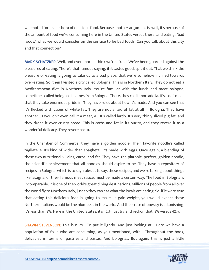well-noted for its plethora of delicious food. Because another argument is, well, it's because of the amount of food we're consuming here in the United States versus there, and eating, "bad foods," what we would consider on the surface to be bad foods. Can you talk about this city and that connection?

MARK SCHATZKER: Well, and even more, I think we're afraid. We've been guarded against the pleasures of eating. There's that famous saying, if it tastes good, spit it out. That we think the pleasure of eating is going to take us to a bad place, that we're somehow inclined towards over-eating. So, then I visited a city called Bologna. This is in Northern Italy. They do not eat a Mediterranean diet in Northern Italy. You're familiar with the lunch and meat balogna, sometimes called bologna, it comes from Bologna. There, they call it mortadella. It's a deli meat that they take enormous pride in. They have rules about how it's made. And you can see that it's flecked with cubes of white fat. They are not afraid of fat at all in Bologna. They have another... I wouldn't even call it a meat, a... It's called lardo. It's very thinly sliced pig fat, and they drape it over crusty bread. This is carbs and fat in its purity, and they revere it as a wonderful delicacy. They revere pasta.

In the Chamber of Commerce, they have a golden noodle. Their favorite noodle's called tagliatelle. It's kind of wider than spaghetti, it's made with eggs. Once again, a blending of these two nutritional villains, carbs, and fat. They have the platonic, perfect, golden noodle, the scientific achievement that all noodles should aspire to be. They have a repository of recipes in Bologna, which is to say, rules as to say, these recipes, and we're talking about things like lasagna, or their famous meat sauce, must be made a certain way. The food in Bologna is incomparable. It is one of the world's great dining destinations. Millions of people from all over the world fly to Northern Italy, just so they can eat what the locals are eating. So, if it were true that eating this delicious food is going to make us gain weight, you would expect these Northern Italians would be the plumpest in the world. And their rate of obesity is astonishing, it's less than 8%. Here in the United States, it's 42%. Just try and reckon that. 8% versus 42%.

**SHAWN STEVENSON:** This is nuts... To put it lightly. And just looking at... Here we have a population of folks who are consuming, as you mentioned, with... Throughout the book, delicacies in terms of pastries and pastas. And bologna... But again, this is just a little

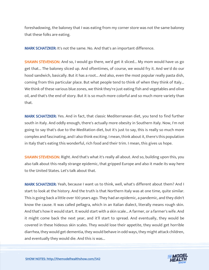foreshadowing, the baloney that I was eating from my corner store was not the same baloney that these folks are eating.

MARK SCHATZKER: It's not the same. No. And that's an important difference.

SHAWN STEVENSON: And so, I would go there, we'd get it sliced... My mom would have us go get that... The baloney sliced up. And oftentimes, of course, we would fry it. And we'd do our hood sandwich, basically. But it has a root... And also, even the most popular really pasta dish, coming from this particular place. But what people tend to think of when they think of Italy... We think of these various blue zones, we think they're just eating fish and vegetables and olive oil, and that's the end of story. But it is so much more colorful and so much more variety than that.

MARK SCHATZKER: Yes. And in fact, that classic Mediterranean diet, you tend to find further south in Italy. And oddly enough, there's actually more obesity in Southern Italy. Now, I'm not going to say that's due to the Meditation diet, but it's just to say, this is really so much more complex and fascinating, and I also think exciting. I mean, think about it, there's this population in Italy that's eating this wonderful, rich food and their trim. I mean, this gives us hope.

**SHAWN STEVENSON:** Right. And that's what it's really all about. And so, building upon this, you also talk about this really strange epidemic, that gripped Europe and also it made its way here to the United States. Let's talk about that.

MARK SCHATZKER: Yeah, because I want us to think, well, what's different about them? And I start to look at the history. And the truth is that Northern Italy was at one time, quite similar. This is going back a little over 100 years ago. They had an epidemic, a pandemic, and they didn't know the cause. It was called pellagra, which in an Italian dialect, literally means rough skin. And that's how it would start. It would start with a skin scale... A farmer, or a farmer's wife. And it might come back the next year, and it'll start to spread. And eventually, they would be covered in these hideous skin scales. They would lose their appetite, they would get horrible diarrhea, they would get dementia, they would behave in odd ways, they might attack children, and eventually they would die. And this is was...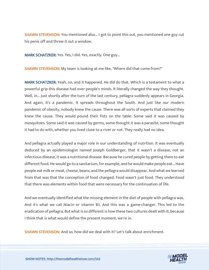**SHAWN STEVENSON:** You mentioned also... I got to point this out, you mentioned one guy cut his penis off and threw it out a window.

MARK SCHATZKER: Yes. Yes, I did. Yes, exactly. One guy...

SHAWN STEVENSON: My team is looking at me like, "Where did that come from?"

MARK SCHATZKER: Yeah, no, and it happened. He did do that. Which is a testament to what a powerful grip this disease had over people's minds. It literally changed the way they thought. Well, in... Just shortly after the turn of the last century, pellagra suddenly appears in Georgia. And again, it's a pandemic. It spreads throughout the South. And just like our modern pandemic of obesity, nobody knew the cause. There was all sorts of experts that claimed they knew the cause. They would pound their fists on the table. Some said it was caused by mosquitoes. Some said it was caused by germs, some thought it was a parasite, some thought it had to do with, whether you lived close to a river or not. They really had no idea.

And pellagra actually played a major role in our understanding of nutrition. It was eventually deduced by an epidemiologist named Joseph Goldberger, that it wasn't a disease, not an infectious disease, it was a nutritional disease. Because he cured people by getting them to eat different food. He would go to a sanitarium, for example, and he would make people eat... Have people eat milk or meat, cheese, beans, and the pellagra would disappear. And what we learned from that was that the conception of food changed. Food wasn't just food. They understood that there was elements within food that were necessary for the continuation of life.

And we eventually identified what the missing element in the diet of people with pellagra was. And it's what we call Niacin or vitamin B3. And this was a game-changer. This led to the eradication of pellagra. But what is so different is how these two cultures dealt with it, because I think that is what would define the present moment, we're in.

SHAWN STEVENSON: And so, how did we deal with it? Let's talk about enrichment.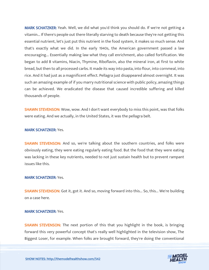MARK SCHATZKER: Yeah. Well, we did what you'd think you should do. If we're not getting a vitamin... If there's people out there literally starving to death because they're not getting this essential nutrient, let's just put this nutrient in the food system, it makes so much sense. And that's exactly what we did. In the early 1940s, the American government passed a law encouraging... Essentially making law what they call enrichment, also called fortification. We began to add B vitamins, Niacin, Thymine, Riboflavin, also the mineral iron, at first to white bread, but then to all processed carbs. It made its way into pasta, into flour, into cornmeal, into rice. And it had just as a magnificent effect. Pellagra just disappeared almost overnight. It was such an amazing example of if you marry nutritional science with public policy, amazing things can be achieved. We eradicated the disease that caused incredible suffering and killed thousands of people.

**SHAWN STEVENSON:** Wow, wow. And I don't want everybody to miss this point, was that folks were eating. And we actually, in the United States, it was the pellagra belt.

#### MARK SCHATZKER: Yes.

SHAWN STEVENSON: And so, we're talking about the southern countries, and folks were obviously eating, they were eating regularly eating food. But the food that they were eating was lacking in these key nutrients, needed to not just sustain health but to prevent rampant issues like this.

#### MARK SCHATZKER: Yes.

**SHAWN STEVENSON:** Got it, got it. And so, moving forward into this... So, this... We're building on a case here.

#### MARK SCHATZKER: Yes.

**SHAWN STEVENSON:** The next portion of this that you highlight in the book, is bringing forward this very powerful concept that's really well highlighted in the television show, The Biggest Loser, for example. When folks are brought forward, they're doing the conventional

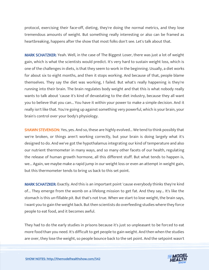protocol, exercising their face-off, dieting, they're doing the normal metrics, and they lose tremendous amounts of weight. But something really interesting or also can be framed as heartbreaking, happens after the show that most folks don't see. Let's talk about that.

MARK SCHATZKER: Yeah. Well, in the case of The Biggest Loser, there was just a lot of weight gain, which is what the scientists would predict. It's very hard to sustain weight loss, which is one of the challenges in diets, is that they seem to work in the beginning. Usually, a diet works for about six to eight months, and then it stops working. And because of that, people blame themselves. They say the diet was working, I failed. But what's really happening is they're running into their brain. The brain regulates body weight and that this is what nobody really wants to talk about 'cause it's kind of devastating to the diet industry, because they all want you to believe that you can... You have it within your power to make a simple decision. And it really isn't like that. You're going up against something very powerful, which is your brain, your brain's control over your body's physiology.

**SHAWN STEVENSON:** Yes, yes. And so, these are highly evolved... We tend to think possibly that we're broken, or things aren't working correctly, but your brain is doing largely what it's designed to do. And we've got the hypothalamus integrating our kind of temperature and also our nutrient thermometer in many ways, and so many other facets of our health, regulating the release of human growth hormone, all this different stuff. But what tends to happen is, we... Again, we maybe make a rapid jump in our weight loss or even an attempt in weight gain, but this thermometer tends to bring us back to this set point.

MARK SCHATZKER: Exactly. And this is an important point 'cause everybody thinks they're kind of... They emerge from the womb on a lifelong mission to get fat. And they say... It's like the stomach is this un-fillable pit. But that's not true. When we start to lose weight, the brain says, I want you to gain the weight back. But then scientists do overfeeding studies where they force people to eat food, and it becomes awful.

They had to do the early studies in prisons because it's just so unpleasant to be forced to eat more food than you need. It's difficult to get people to gain weight. And then when the studies are over, they lose the weight, so people bounce back to the set point. And the setpoint wasn't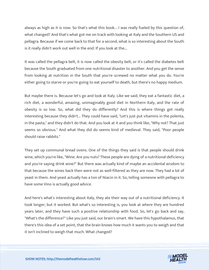always as high as it is now. So that's what this book... I was really fueled by this question of, what changed? And that's what got me on track with looking at Italy and the Southern US and pellagra. Because if we come back to that for a second, what is so interesting about the South is it really didn't work out well in the end. If you look at the...

It was called the pellagra belt, it is now called the obesity belt, or it's called the diabetes belt because the South graduated from one nutritional disaster to another. And you get the sense from looking at nutrition in the South that you're screwed no matter what you do. You're either going to starve or you're going to eat yourself to death, but there's no happy medium.

But maybe there is. Because let's go and look at Italy. Like we said, they eat a fantastic diet, a rich diet, a wonderful, amazing, unimaginably good diet in Northern Italy, and the rate of obesity is so low. So, what did they do differently? And this is where things get really interesting because they didn't... They could have said, "Let's just put vitamins in the polenta, in the pasta," and they didn't do that. And you look at it and you think like, "Why not? That just seems so obvious." And what they did do seems kind of medieval. They said, "Poor people should raise rabbits."

They set up communal bread ovens. One of the things they said is that people should drink wine, which you're like, "Wine. Are you nuts? These people are dying of a nutritional deficiency and you're saying drink wine?" But there was actually kind of maybe an accidental wisdom to that because the wines back then were not as well-filtered as they are now. They had a lot of yeast in them. And yeast actually has a ton of Niacin in it. So, telling someone with pellagra to have some Vino is actually good advice.

And here's what's interesting about Italy, they ate their way out of a nutritional deficiency. It took longer, but it worked. But what's so interesting is, you look at where they are hundred years later, and they have such a positive relationship with food. So, let's go back and say, "What's the difference?" Like you just said, our brain's smart. We have this hypothalamus, that there's this idea of a set point, that the brain knows how much it wants you to weigh and that it isn't inclined to weigh that much. What changed?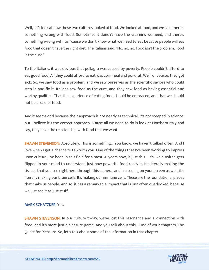Well, let's look at how these two cultures looked at food. We looked at food, and we said there's something wrong with food. Sometimes it doesn't have the vitamins we need, and there's something wrong with us, 'cause we don't know what we need to eat because people will eat food that doesn't have the right diet. The Italians said, "No, no, no. Food isn't the problem. Food is the cure."

To the Italians, it was obvious that pellagra was caused by poverty. People couldn't afford to eat good food. All they could afford to eat was cornmeal and pork fat. Well, of course, they got sick. So, we saw food as a problem, and we saw ourselves as the scientific saviors who could step in and fix it. Italians saw food as the cure, and they saw food as having essential and worthy qualities. That the experience of eating food should be embraced, and that we should not be afraid of food.

And it seems odd because their approach is not nearly as technical, it's not steeped in science, but I believe it's the correct approach. 'Cause all we need to do is look at Northern Italy and say, they have the relationship with food that we want.

SHAWN STEVENSON: Absolutely. This is something... You know, we haven't talked often. And I love when I get a chance to talk with you. One of the things that I've been working to impress upon culture, I've been in this field for almost 20 years now, is just this... It's like a switch gets flipped in your mind to understand just how powerful food really is. It's literally making the tissues that you see right here through this camera, and I'm seeing on your screen as well, it's literally making our brain cells. It's making our immune cells. These are the foundational pieces that make us people. And so, it has a remarkable impact that is just often overlooked, because we just see it as just stuff.

#### MARK SCHATZKER: Yes.

SHAWN STEVENSON: In our culture today, we've lost this resonance and a connection with food, and it's more just a pleasure game. And you talk about this... One of your chapters, The Quest for Pleasure. So, let's talk about some of the information in that chapter.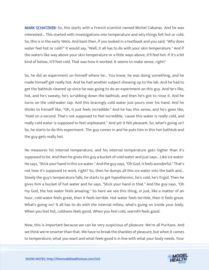MARK SCHATZKER: So, this starts with a French scientist named Michel Cabanac. And he was interested... This started with investigations into temperature and why things felt hot or cold. So, this is in the early 1960s. And back then, if you looked in a textbook and you said, "Why does water feel hot or cold?" It would say, "Well, it all has to do with your skin temperature." And if the waters like way above your skin temperature or a little ways above, it'll feel hot. If it's a bit kind of below, it'll feel cold. That was how it worked. It seems to make sense, right?

So, he did an experiment on himself where he... You know, he was doing something, and he made himself get really hot. And he had another subject showing up to the lab. And he had to get the bathtub cleaned up since he was going to do an experiment on this guy. And he's like, hot, and he's sweaty, he's scrubbing down the bathtub, and then he's got to rinse it. And he turns on the cold-water tap. And this bracingly cold water just pours over his hand. And he thinks to himself like, "Oh, it just feels incredible." And he has this sense, and he's goes like, "Hold on a second. That's not supposed to feel incredible, 'cause this water is really cold, and really cold water is supposed to feel unpleasant." And yet it felt pleasant. So, what's going on? So, he starts to do this experiment. The guy comes in and he puts him in this hot bathtub and the guy gets really hot.

He measures his internal temperature, and his internal temperature gets higher than it's supposed to be. And then he gives this guy a bucket of cold water and just says... Like ice water. He says, "Stick your hand in this ice water." And the guy says, "Oh God, it feels wonderful." That's not how it's supposed to work, right? So, then he dumps all this ice water into the bath and... Slowly the guy's temperature falls, he starts to get hypothermic, he's cold, he's frigid. Then he gives him a bucket of hot water and he says, "Stick your hand in that." And the guy says, "Oh my God, the hot water feels amazing." So here we see this thing, in just, like a matter of an hour, cold water feels great, then it feels terrible. Hot water feels terrible, then it feels great. What's going on? It all has to do with the internal milieu, what's going on inside your body. When you feel hot, coldness feels good. When you feel cold, warmth feels good.

Now, this is important because we can be very suspicious of pleasure. We're all Puritans. And we think we're smarter than that. We have to break the shackles of pleasure, but when it comes to temperature, what you want and what feels good is in line with what your body needs. Your

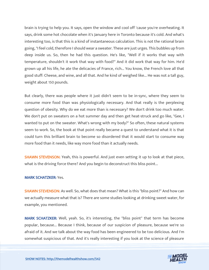brain is trying to help you. It says, open the window and cool off 'cause you're overheating. It says, drink some hot chocolate when it's January here in Toronto because it's cold. And what's interesting too, is that this is a kind of instantaneous calculation. This is not the rational brain going, "I feel cold, therefore I should wear a sweater. These are just urges. This bubbles up from deep inside us. So, then he had this question. He's like, "Well if it works that way with temperature, shouldn't it work that way with food?" And it did work that way for him. He'd grown up all his life, he ate the delicacies of France, rich... You know, the French love all that good stuff: Cheese, and wine, and all that. And he kind of weighed like... He was not a tall guy, weight about 150 pounds.

But clearly, there was people where it just didn't seem to be in-sync, where they seem to consume more food than was physiologically necessary. And that really is the perplexing question of obesity. Why do we eat more than is necessary? We don't drink too much water. We don't put on sweaters on a hot summer day and then get heat-struck and go like, "Gee, I wanted to put on the sweater. What's wrong with my body?" So often, these natural systems seem to work. So, the book at that point really became a quest to understand what it is that could turn this brilliant brain to become so disordered that it would start to consume way more food than it needs, like way more food than it actually needs.

**SHAWN STEVENSON:** Yeah, this is powerful. And just even setting it up to look at that piece, what is the driving force there? And you begin to deconstruct this bliss point...

#### MARK SCHATZKER: Yes.

**SHAWN STEVENSON:** As well. So, what does that mean? What is this "bliss point?" And how can we actually measure what that is? There are some studies looking at drinking sweet water, for example, you mentioned.

MARK SCHATZKER: Well, yeah. So, it's interesting, the "bliss point" that term has become popular, because... Because I think, because of our suspicion of pleasure, because we're so afraid of it. And we talk about the way food has been engineered to be too delicious. And I'm somewhat suspicious of that. And it's really interesting if you look at the science of pleasure

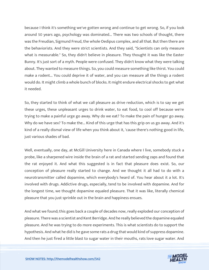because I think it's something we've gotten wrong and continue to get wrong. So, if you look around 50 years ago, psychology was dominated... There was two schools of thought, there was the Freudian, Sigmund Freud, the whole Oedipus complex, and all that. But then there are the behaviorists. And they were strict scientists. And they said, "Scientists can only measure what is measurable." So, they didn't believe in pleasure. They thought it was like the Easter Bunny. It's just sort of a myth. People were confused. They didn't know what they were talking about. They wanted to measure things. So, you could measure something like thirst. You could make a rodent... You could deprive it of water, and you can measure all the things a rodent would do. It might climb a whole bunch of blocks. It might endure electrical shocks to get what it needed.

So, they started to think of what we call pleasure as drive reduction, which is to say we get these urges, these unpleasant urges to drink water, to eat food, to cool off because we're trying to make a painful urge go away. Why do we eat? To make the pain of hunger go away. Why do we have sex? To make the... Kind of this urge that has this grip on us go away. And it's kind of a really dismal view of life when you think about it, 'cause there's nothing good in life, just various shades of bad.

Well, eventually, one day, at McGill University here in Canada where I live, somebody stuck a probe, like a sharpened wire inside the brain of a rat and started sending zaps and found that the rat enjoyed it. And what this suggested is in fact that pleasure does exist. So, our conception of pleasure really started to change. And we thought it all had to do with a neurotransmitter called dopamine, which everybody's heard of. You hear about it a lot. It's involved with drugs. Addictive drugs, especially, tend to be involved with dopamine. And for the longest time, we thought dopamine equaled pleasure. That it was like, literally chemical pleasure that you just sprinkle out in the brain and happiness ensues.

And what we found; this goes back a couple of decades now, really exploded our conception of pleasure. There was a scientist and Kent Berridge. And he really believed the dopamine equaled pleasure. And he was trying to do more experiments. This is what scientists do to support the hypothesis. And what he did is he gave some rats a drug that would kind of suppress dopamine. And then he just fired a little blast to sugar water in their mouths, rats love sugar water. And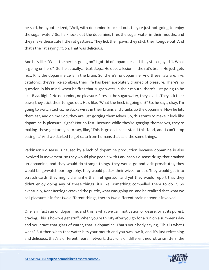he said, he hypothesized, "Well, with dopamine knocked out, they're just not going to enjoy the sugar water." So, he knocks out the dopamine, fires the sugar water in their mouths, and they make these cute little rat gestures. They lick their paws; they stick their tongue out. And that's the rat saying, "Ooh. That was delicious."

And he's like, "What the heck is going on? I got rid of dopamine, and they still enjoyed it. What is going on here?" So, he actually... Next step... He does a lesion in the rat's brain. He just gets rid... Kills the dopamine cells in the brain. So, there's no dopamine. And these rats are, like, catatonic, they're like zombies, their life has been absolutely drained of pleasure. There's no question in his mind, when he fires that sugar water in their mouth, there's just going to be like, Blaa. Right? No dopamine, no pleasure. Fires in the sugar water, they love it. They lick their paws; they stick their tongue out. He's like, "What the heck is going on?" So, he says, okay, I'm going to switch tactics, he sticks wires in their brains and cranks up the dopamine. Now he lets them eat, and oh my God, they are just gorging themselves. So, this starts to make it look like dopamine is pleasure, right? Not so fast. Because while they're gorging themselves, they're making these gestures, is to say, like, "This is gross. I can't stand this food, and I can't stop eating it." And we started to get data from humans that said the same things.

Parkinson's disease is caused by a lack of dopamine production because dopamine is also involved in movement, so they would give people with Parkinson's disease drugs that cranked up dopamine, and they would do strange things, they would go and visit prostitutes, they would binge-watch pornography, they would pester their wives for sex. They would get into scratch cards, they might dismantle their refrigerator and yet they would report that they didn't enjoy doing any of these things, it's like, something compelled them to do it. So eventually, Kent Berridge cracked the puzzle, what was going on, and he realized that what we call pleasure is in fact two different things, there's two different brain networks involved.

One is in fact run on dopamine, and this is what we call motivation or desire, or at its purest, craving. This is how we get stuff. When you're thirsty after you go for a run on a summer's day and you crave that glass of water, that is dopamine. That's your body saying, "This is what I want." But then when that water hits your mouth and you swallow it, and it's just refreshing and delicious, that's a different neural network, that runs on different neurotransmitters, the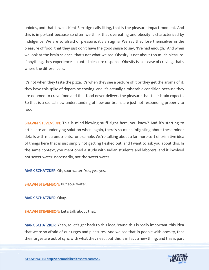opioids, and that is what Kent Berridge calls liking, that is the pleasure impact moment. And this is important because so often we think that overeating and obesity is characterized by indulgence. We are so afraid of pleasure, it's a stigma. We say they lose themselves in the pleasure of food, that they just don't have the good sense to say, "I've had enough." And when we look at the brain science, that's not what we see. Obesity is not about too much pleasure. If anything, they experience a blunted pleasure response. Obesity is a disease of craving, that's where the difference is.

It's not when they taste the pizza, it's when they see a picture of it or they get the aroma of it, they have this spike of dopamine craving, and it's actually a miserable condition because they are doomed to crave food and that food never delivers the pleasure that their brain expects. So that is a radical new understanding of how our brains are just not responding properly to food.

SHAWN STEVENSON: This is mind-blowing stuff right here, you know? And it's starting to articulate an underlying solution when, again, there's so much infighting about these minor details with macronutrients, for example. We're talking about a far more sort of primitive idea of things here that is just simply not getting fleshed out, and I want to ask you about this. In the same context, you mentioned a study with Indian students and laborers, and it involved not sweet water, necessarily, not the sweet water...

MARK SCHATZKER: Oh, sour water. Yes, yes, yes.

SHAWN STEVENSON: But sour water.

MARK SCHATZKER: Okay.

SHAWN STEVENSON: Let's talk about that.

MARK SCHATZKER: Yeah, so let's get back to this idea, 'cause this is really important, this idea that we're so afraid of our urges and pleasures. And we see that in people with obesity, that their urges are out of sync with what they need, but this is in fact a new thing, and this is part

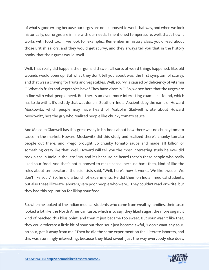of what's gone wrong because our urges are not supposed to work that way, and when we look historically, our urges are in line with our needs. I mentioned temperature, well, that's how it works with food too. If we look for example... Remember in history class, you'd read about those British sailors, and they would get scurvy, and they always tell you that in the history books, that their gums would swell.

Well, that really did happen, their gums did swell, all sorts of weird things happened, like, old wounds would open up. But what they don't tell you about was, the first symptom of scurvy, and that was a craving for fruits and vegetables. Well, scurvy is caused by deficiency of vitamin C. What do fruits and vegetables have? They have vitamin C. So, we see here that the urges are in line with what people need. But there's an even more interesting example, I found, which has to do with... It's a study that was done in Southern India. A scientist by the name of Howard Moskowitz, which people may have heard of Malcolm Gladwell wrote about Howard Moskowitz, he's the guy who realized people like chunky tomato sauce.

And Malcolm Gladwell has this great essay in his book about how there was no chunky tomato sauce in the market, Howard Moskowitz did this study and realized there's chunky tomato people out there, and Prego brought up chunky tomato sauce and made \$11 billion or something crazy like that. Well, Howard will tell you the most interesting study he ever did took place in India in the late '70s, and it's because he heard there's these people who really liked sour food. And that's not supposed to make sense, because back then, kind of like the rules about temperature, the scientists said, "Well, here's how it works. We like sweets. We don't like sour." So, he did a bunch of experiments. He did them on Indian medical students, but also these illiterate laborers, very poor people who were... They couldn't read or write, but they had this reputation for liking sour food.

So, when he looked at the Indian medical students who came from wealthy families, their taste looked a lot like the North American taste, which is to say, they liked sugar, the more sugar, it kind of reached this bliss point, and then it just became too sweet. But sour wasn't like that, they could tolerate a little bit of sour but then sour just became awful, "I don't want any sour, no sour, get it away from me." Then he did the same experiment on the illiterate laborers, and this was stunningly interesting, because they liked sweet, just the way everybody else does,

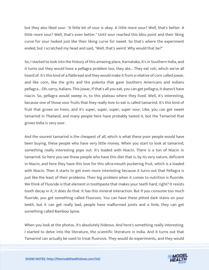but they also liked sour. "A little bit of sour is okay. A little more sour? Well, that's better. A little more sour? Well, that's even better." Until sour reached this bliss point and their liking curve for sour looked just like their liking curve for sweet. So that's where the experiment ended, but I scratched my head and said, "Well, that's weird. Why would that be?"

So, I started to look into the history of this amazing place, Karnataka, it's in Southern India, and it turns out they would have a pellagra problem too, they ate... They eat roti, which we've all heard of. It's this kind of a flatbread and they would make it from a relative of corn called jowar, and like corn, like the grits and the polenta that gave Southern Americans and Indians pellagra... Oh, sorry, Italians. This jowar, if that's all you eat, you can get pellagra, it doesn't have niacin. So, pellagra would sweep in, to this plateau where they lived. Well, it's interesting, because one of those sour fruits that they really love to eat is called tamarind. It's this kind of fruit that grows on trees, and it's super, super, super, super sour. Like, you can get sweet tamarind in Thailand, and many people here have probably tasted it, but the Tamarind that grows India is very sour.

And the sourest tamarind is the cheapest of all, which is what these poor people would have been buying, these people who have very little money. When you start to look at tamarind, something really interesting pops out. It's loaded with Niacin. There is a ton of Niacin in tamarind. So here you see these people who have this diet that is, by its very nature, deficient in Niacin, and here they have this love for this ultra-mouth puckering fruit, which is a loaded with Niacin. Then it starts to get even more interesting because it turns out that Pellagra is just like the least of their problems. Their big problem when it comes to nutrition is fluoride. We think of Fluoride is that element in toothpaste that makes your teeth hard, right? It resists tooth decay in it, it does do that. It has this mineral interaction. But if you consume too much fluoride, you get something called Fluorosis. You can have these pitted dark stains on your teeth, but it can get really bad, people have malformed joints and a limb, they can get something called Bamboo Spine.

When you look at the photos, it's absolutely hideous. And here's something really interesting. I started to delve into the literature, the scientific literature in India. And it turns out that Tamarind can actually be used to treat fluorosis. They would do experiments, and they would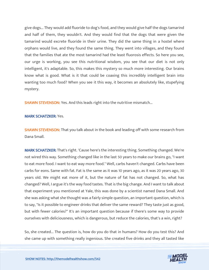give dogs... They would add fluoride to dog's food, and they would give half the dogs tamarind and half of them, they wouldn't. And they would find that the dogs that were given the tamarind would excrete fluoride in their urine. They did the same thing in a hostel where orphans would live, and they found the same thing. They went into villages, and they found that the families that ate the most tamarind had the least fluorosis effects. So here you see, our urge is working, you see this nutritional wisdom, you see that our diet is not only intelligent, it's adaptable. So, this makes this mystery so much more interesting. Our brains know what is good. What is it that could be coaxing this incredibly intelligent brain into wanting too much food? When you see it this way, it becomes an absolutely like, stupefying mystery.

SHAWN STEVENSON: Yes. And this leads right into the nutritive mismatch...

#### MARK SCHATZKER: Yes.

**SHAWN STEVENSON:** That you talk about in the book and leading off with some research from Dana Small.

MARK SCHATZKER: That's right. 'Cause here's the interesting thing. Something changed. We're not wired this way. Something changed like in the last 50 years to make our brains go, "I want to eat more food. I want to eat way more food." Well, carbs haven't changed. Carbs have been carbs for eons. Same with fat. Fat is the same as it was 10 years ago, as it was 20 years ago, 30 years old. We might eat more of it, but the nature of fat has not changed. So, what has changed? Well, I argue it's the way food tastes. That is the big change. And I want to talk about that experiment you mentioned at Yale, this was done by a scientist named Dana Small. And she was asking what she thought was a fairly simple question, an important question, which is to say, "Is it possible to engineer drinks that deliver the same reward? They taste just as good, but with fewer calories?" It's an important question because if there's some way to provide ourselves with deliciousness, which is dangerous, but reduce the calories, that's a win, right?

So, she created... The question is, how do you do that in humans? How do you test this? And she came up with something really ingenious. She created five drinks and they all tasted like

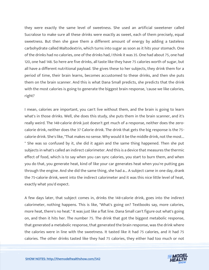they were exactly the same level of sweetness. She used an artificial sweetener called Sucralose to make sure all these drinks were exactly as sweet, each of them precisely, equal sweetness. But then she gave them a different amount of energy by adding a tasteless carbohydrate called Maltodextrin, which turns into sugar as soon as it hits your stomach. One of the drinks had no calories, one of the drinks had, I think it was 35. One had about 75, one had 120, one had 148. So here are five drinks, all taste like they have 75 calories worth of sugar, but all have a different nutritional payload. She gives these to her subjects, they drink them for a period of time, their brain learns, becomes accustomed to these drinks, and then she puts them on the brain scanner. And this is what Dana Small predicts, she predicts that the drink with the most calories is going to generate the biggest brain response, 'cause we like calories, right?

I mean, calories are important, you can't live without them, and the brain is going to learn what's in those drinks. Well, she does this study, she puts them in the brain scanner, and it's really weird. The 148-calorie drink just doesn't get much of a response, neither does the zerocalorie drink, neither does the 37 Calorie drink. The drink that gets the big response is the 75 calorie drink. She's like, "That makes no sense. Why would it be the middle drink, not the most... " She was so confused by it, she did it again and the same thing happened. Then she put subjects in what's called an indirect calorimeter. And this is a device that measures the thermic effect of food, which is to say when you can sync calories, you start to burn them, and when you do that, you generate heat, kind of like your car generates heat when you're putting gas through the engine. And she did the same thing, she had a... A subject came in one day, drank the 75-calorie drink, went into the indirect calorimeter and it was this nice little level of heat, exactly what you'd expect.

A few days later, that subject comes in, drinks the 148-calorie drink, goes into the indirect calorimeter, nothing happens. This is like, "What's going on? Textbooks say, more calories, more heat, there's no heat." It was just like a flat line. Dana Small can't figure out what's going on, and then it hits her. The number 75. The drink that got the biggest metabolic response, that generated a metabolic response, that generated the brain response, was the drink where the calories were in line with the sweetness. It tasted like it had 75 calories, and it had 75 calories. The other drinks tasted like they had 75 calories, they either had too much or not

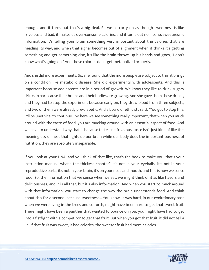enough, and it turns out that's a big deal. So we all carry on as though sweetness is like frivolous and bad, it makes us over-consume calories, and it turns out no, no, no, sweetness is information, it's telling your brain something very important about the calories that are heading its way, and when that signal becomes out of alignment when it thinks it's getting something and get something else, it's like the brain throws up his hands and goes, "I don't know what's going on." And those calories don't get metabolized properly.

And she did more experiments. So, she found that the more people are subject to this, it brings on a condition like metabolic disease. She did experiments with adolescents. And this is important because adolescents are in a period of growth. We know they like to drink sugary drinks in part 'cause their brains and their bodies are growing. And she gave them these drinks, and they had to stop the experiment because early on, they drew blood from three subjects, and two of them were already pre-diabetic. And a board of ethicists said, "You got to stop this, it'll be unethical to continue." So here we see something really important, that when you muck around with the taste of food, you are mucking around with an essential aspect of food. And we have to understand why that is because taste isn't frivolous, taste isn't just kind of like this meaningless silliness that lights up our brain while our body does the important business of nutrition, they are absolutely inseparable.

If you look at your DNA, and you think of that like, that's the book to make you, that's your instruction manual, what's the thickest chapter? It's not in your eyeballs, it's not in your reproductive parts, it's not in your brain, it's on your nose and mouth, and this is how we sense food. So, the information that we sense when we eat, we might think of it as like flavors and deliciousness, and it is all that, but it's also information. And when you start to muck around with that information, you start to change the way the brain understands food. And think about this for a second, because sweetness... You know, it was hard, in our evolutionary past when we were living in the trees and so forth, might have been hard to get that sweet fruit. There might have been a panther that wanted to pounce on you, you might have had to get into a fistfight with a competitor to get that fruit. But when you got that fruit, it did not tell a lie. If that fruit was sweet, it had calories, the sweeter fruit had more calories.

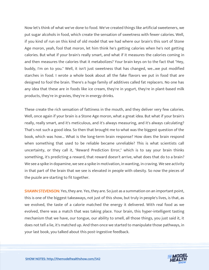Now let's think of what we've done to food. We've created things like artificial sweeteners, we put sugar alcohols in food, which create the sensation of sweetness with fewer calories. Well, if you kind of run on this kind of old model that we had where our brain's this sort of Stone Age moron, yeah, fool that moron, let him think he's getting calories when he's not getting calories. But what if your brain's really smart, and what if it measures the calories coming in and then measures the calories that it metabolizes? Your brain keys on to the fact that "Hey, buddy, I'm on to you." Well, it isn't just sweetness that has changed, we…we put modified starches in food. I wrote a whole book about all the fake flavors we put in food that are designed to fool the brain. There's a huge family of additives called fat replacers. No one has any idea that these are in foods like ice cream, they're in yogurt, they're in plant-based milk products, they're in gravies, they're in energy drinks.

These create the rich sensation of fattiness in the mouth, and they deliver very few calories. Well, once again if your brain is a Stone Age moron, what a great idea. But what if your brain's really, really smart, and it's meticulous, and it's always measuring, and it's always calculating? That's not such a good idea. So then that brought me to what was the biggest question of the book, which was how... What is the long-term brain response? How does the brain respond when something that used to be reliable became unreliable? This is what scientists call uncertainty, or they call it, "Reward Prediction Error," which is to say your brain thinks something, it's predicting a reward, that reward doesn't arrive, what does that do to a brain? We see a spike in dopamine, we see a spike in motivation, in wanting, in craving. We see activity in that part of the brain that we see is elevated in people with obesity. So now the pieces of the puzzle are starting to fit together.

**SHAWN STEVENSON:** Yes, they are. Yes, they are. So just as a summation on an important point, this is one of the biggest takeaways, not just of this show, but truly in people's lives, is that, as we evolved, the taste of a calorie matched the energy it delivered. With real food as we evolved, there was a match that was taking place. Your brain, this hyper-intelligent tasting mechanism that we have, our tongue, our ability to smell, all those things, you just said it, it does not tell a lie, it's matched up. And then once we started to manipulate those pathways, in your last book, you talked about this post-ingestive feedback.

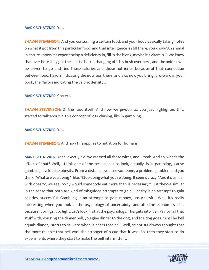#### MARK SCHATZKER: Yes.

**SHAWN STEVENSON:** And you consuming a certain food, and your body basically taking notes on what it got from this particular food, and that intelligence is still there, you know? An animal in nature knows it's experiencing a deficiency in, fill in the blank, maybe it's vitamin C. We know that over here they got these little berries hanging off this bush over here, and the animal will be driven to go and find those calories and those nutrients, because of that connection between food, flavors indicating the nutrition there, and also now you bring it forward in your book, the flavors indicating the caloric density...

#### MARK SCHATZKER: Correct.

SHAWN STEVENSON: Of the food itself. And now we pivot into, you just highlighted this, started to talk about it, this concept of loss-chasing, like in gambling.

#### MARK SCHATZKER: Yes.

**SHAWN STEVENSON:** And how this applies to nutrition for humans.

MARK SCHATZKER: Yeah, exactly. So, we crossed all these wires, and... Yeah. And so, what's the effect of that? Well, I think one of the best places to look, actually, is in gambling, 'cause gambling is a lot like obesity. From a distance, you see someone, a problem gambler, and you think, "What are you doing?" like, "Stop doing what you're doing. It seems crazy." And it's similar with obesity, we see, "Why would somebody eat more than is necessary?" But they're similar in the sense that both are kind of misguided attempts to gain. Obesity is an attempt to gain calories, successful. Gambling is an attempt to gain money, unsuccessful. Well, it's really interesting when you look at the psychology of uncertainty, and also the economics of it because it brings it to light. Let's look first at the psychology. This gets into Ivan Pavlov, all that stuff with, you ring the dinner bell, you give dinner to the dog, and the dog goes, "Ah! The bell equals dinner," starts to salivate when it hears that bell. Well, scientists always thought that the more reliable that bell was, the stronger of a cue that it was. So, then they start to do experiments where they start to make the bell intermittent.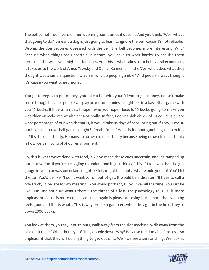The bell sometimes means dinner is coming, sometimes it doesn't. And you think, "Well, what's that going to do? It means a dog is just going to learn to ignore the bell 'cause it's not reliable." Wrong, the dog becomes obsessed with the bell, the bell becomes more interesting. Why? Because when things are uncertain in nature, you have to work harder to acquire them because otherwise, you might suffer a loss. And this is what takes us to behavioral economics. It takes us to the work of Amos Tversky and Daniel Kahneman in the '70s, who asked what they thought was a simple question, which is, why do people gamble? And people always thought it's 'cause you want to get money.

You go to Vegas to get money, you take a bet with your friend to get money, doesn't make sense though because people will play poker for pennies. I might bet in a basketball game with you 10 bucks. It'll be a fun bet. I hope I win; you hope I lose. Is 10 bucks going to make you wealthier or make me wealthier? Not really. In fact, I don't think either of us could calculate what percentage of our wealth that is, it would take us days of accounting but if I say, "Hey, 10 bucks on the basketball game tonight?" "Yeah, I'm in." What is it about gambling that excites us? It's the uncertainty. Humans are drawn to uncertainty because being drawn to uncertainty is how we gain control of our environment.

So, this is what we've done with food, is we've made these cues uncertain, and it's ramped up our motivation. If you're struggling to understand it, just think of this. If I told you that the gas gauge in your car was uncertain, might be full, might be empty, what would you do? You'd fill the car. You'd be like, "I don't want to run out of gas. It would be a disaster. I'll have to call a tow truck; I'd be late for my meeting." You would probably fill your car all the time. You just be like, "I'm just not sure what's there." The threat of a loss, the psychology tells us, is more unpleasant. A loss is more unpleasant than again is pleasant. Losing hurts more than winning feels good and this is what... This is why problem gamblers when they get in the hole, they're down 2000 bucks.

You look at them, you say "You're nuts, walk away from the slot machine, walk away from the blackjack table." What do they do? They double down. Why? Because the domain of losses is so unpleasant that they will do anything to get out of it. Well, we see a similar thing. We look at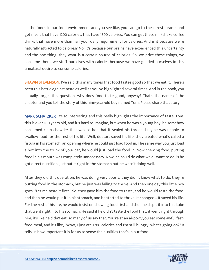all the foods in our food environment and you see like, you can go to these restaurants and get meals that have 1200 calories, that have 1800 calories. You can get these milkshake coffee drinks that have more than half your daily requirement for calories. And is it because we're naturally attracted to calories? No, it's because our brains have experienced this uncertainty and the one thing, they want is a certain source of calories. So, we prize these things, we consume them, we stuff ourselves with calories because we have goaded ourselves in this unnatural desire to consume calories.

**SHAWN STEVENSON:** I've said this many times that food tastes good so that we eat it. There's been this battle against taste as well as you've highlighted several times. And in the book, you actually target this question, why does food taste good, anyway? That's the name of the chapter and you tell the story of this nine-year-old boy named Tom. Please share that story.

MARK SCHATZKER: It's so interesting and this really highlights the importance of taste. Tom, this is over 100 years old, and it's hard to imagine, but when he was a young boy, he somehow consumed clam chowder that was so hot that it sealed his throat shut, he was unable to swallow food for the rest of his life. Well, doctors saved his life, they created what's called a fistula in his stomach, an opening where he could just load food in. The same way you just load a box into the trunk of your car, he would just load the food in. Now chewing food, putting food in his mouth was completely unnecessary. Now, he could do what we all want to do, is he got direct nutrition, just put it right in the stomach but he wasn't doing well.

After they did this operation, he was doing very poorly, they didn't know what to do, they're putting food in the stomach, but he just was failing to thrive. And then one day this little boy goes, "Let me taste it first." So, they gave him the food to taste, and he would taste the food, and then he would put it in his stomach, and he started to thrive. It changed... It saved his life. For the rest of his life, he would insist on chewing food first and then he'd spit it into this tube that went right into his stomach. He said if he didn't taste the food first, it went right through him, it's like he didn't eat, so many of us say that. You're at an airport, you eat some awful fastfood meal, and it's like, "Wow, I just ate 1200 calories and I'm still hungry, what's going on?" It tells us how important it is for us to sense the qualities that's in our food.

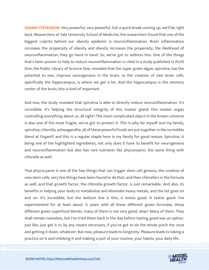**SHAWN STEVENSON:** Very powerful, very powerful. Got a quick break coming up, we'll be right back. Researchers at Yale University School of Medicine, the researchers found that one of the biggest culprits behind our obesity epidemic is neuroinflammation. Brain inflammation increases the propensity of obesity and obesity increases the propensity, the likelihood of neuroinflammation, they go hand in hand. So, we've got to address this. One of the things that's been proven to help to reduce neuroinflammation is cited in a study published in PLOS One, the Public Library of Science One, revealed that the super green algae, spirulina, has the potential to one, improve neurogenesis in the brain, so the creation of new brain cells, specifically the hippocampus, is where we get a lot. And the hippocampus is the memory center of the brain, this is kind of important.

And two, the study revealed that spirulina is able to directly reduce neuroinflammation. It's incredible. It's helping the structural integrity of this master gland, this master organ controlling everything about us, all right? The most complicated object in the known universe is also one of the most fragile, we've got to protect it. This is why for myself and my family, spirulina, chlorella, ashwagandha, all of these powerful foods are put together in the incredible blend at Organifi and this is a regular staple here in my family for good reason. Spirulina, it being one of the highlighted ingredients, not only does it have its benefit for neurogenesis and neuroinflammation but also has rare nutrients like phycocyanin, the same thing with chlorella as well.

That phycocyanin is one of the few things that can trigger stem cell genesis, the creation of new stem cells, very few things have been found to do that, and then chlorella's in the formula as well, and that growth factor, the chlorella growth factor, is just remarkable. And also, its benefits in helping your body to metabolize and eliminate heavy metals, and the list goes on and on. It's incredible, but the bottom line is this, it tastes good. It tastes good. I've experimented for at least about 15 years with all these different green formulas, these different green superfood blends, many of them is not very good, okay? Many of them. They shall remain nameless, but I've tried them back in the day before tasting good was an option. Just like, just get it in, by any means necessary, if you've got to do the whole pinch the nose and getting it down, whatever. But now, pleasure leads to longevity. Pleasure leads to taking a practice on it and imbibing it and making a part of your routine, your habits, your daily life.

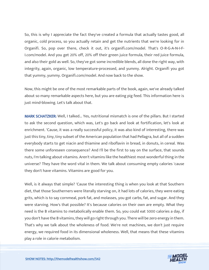So, this is why I appreciate the fact they've created a formula that actually tastes good, all organic, cold process, so you actually retain and get the nutrients that we're looking for in Organifi. So, pop over there, check it out, it's organifi.com/model. That's O-R-G-A-N-I-F-I.com/model. And you get 20% off, 20% off their green juice formula, their red juice formula, and also their gold as well. So, they've got some incredible blends, all done the right way, with integrity, again, organic, low temperature-processed, and yummy. Alright. Organifi you got that yummy, yummy. Organifi.com/model. And now back to the show.

Now, this might be one of the most remarkable parts of the book, again, we've already talked about so many remarkable aspects here, but you are eating pig feed. This information here is just mind-blowing. Let's talk about that.

MARK SCHATZKER: Well, I talked... Yes, nutritional mismatch is one of the pillars. But I started to ask the second question, which was, Let's go back and look at fortification, let's look at enrichment. 'Cause, it was a really successful policy, it was also kind of interesting, there was just this tiny, tiny, tiny subset of the American population that had Pellagra, but all of a sudden everybody starts to get niacin and thiamine and riboflavin in bread, in donuts, in cereal. Was there some unforeseen consequence? And I'll be the first to say on the surface, that sounds nuts, I'm talking about vitamins. Aren't vitamins like the healthiest most wonderful thing in the universe? They have the word vital in them. We talk about consuming empty calories 'cause they don't have vitamins. Vitamins are good for you.

Well, is it always that simple? 'Cause the interesting thing is when you look at that Southern diet, that those Southerners were literally starving on, it had lots of calories, they were eating grits, which is to say cornmeal, pork fat, and molasses, you got carbs, fat, and sugar. And they were starving. How's that possible? It's because calories on their own are empty. What they need is the B vitamins to metabolically enable them. So, you could eat 5000 calories a day, if you don't have the B vitamins, they will go right through you. There will be zero energy in them. That's why we talk about the wholeness of food. We're not machines, we don't just require energy, we required food in its dimensional wholeness. Well, that means that these vitamins play a role in calorie metabolism.

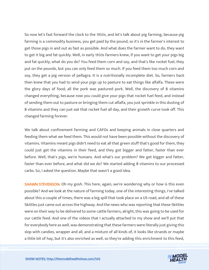So now let's fast forward the clock to the 1950s, and let's talk about pig farming, because pig farming is a commodity business, you get paid by the pound, so it's in the farmer's interest to get those pigs in and out as fast as possible. And what does the farmer want to do, they want to get it big and fat quickly. Well, in early 1950s farmers knew, if you want to get your pigs big and fat quickly, what do you do? You feed them corn and soy, and that's like rocket fuel, they put on the pounds, but you can only feed them so much. If you feed them too much corn and soy, they get a pig version of pellagra. It is a nutritionally incomplete diet. So, farmers back then knew that you had to send your pigs up to pasture to eat things like alfalfa. These were the glory days of food; all the pork was pastured pork. Well, the discovery of B vitamins changed everything, because now you could give your pigs that rocket fuel feed, and instead of sending them out to pasture or bringing them cut alfalfa, you just sprinkle in this dusting of B vitamins and they can just eat that rocket fuel all day, and their growth curve took off. This changed farming forever.

We talk about confinement farming and CAFOs and keeping animals in close quarters and feeding them what we feed them. This would not have been possible without the discovery of vitamins. Vitamins meant pigs didn't need to eat all that green stuff that's good for them, they could just get the vitamins in their feed, and they got bigger and fatter, faster than ever before. Well, that's pigs, we're humans. And what's our problem? We get bigger and fatter, faster than ever before, and what did we do? We started adding B vitamins to our processed carbs. So, I asked the question. Maybe that wasn't a good idea.

**SHAWN STEVENSON:** Oh my gosh. This here, again, we're wondering why or how is this even possible? And we look at the nature of farming today, one of the interesting things, I've talked about this a couple of times, there was a big spill that took place on a US road, and all of these Skittles just came out across the highway. And the news who was reporting that these Skittles were on their way to be delivered to some cattle farmers, alright, this was going to be used for our cattle feed. And one of the videos that I actually attached to my show and we'll put that for everybody here as well, was demonstrating that these farmers were literally just giving this slop with candies, wrapper and all, and a mixture of all kinds of, it looks like strands or maybe a little bit of hay, but it's also enriched as well, so they're adding this enrichment to this feed,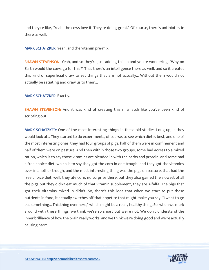and they're like, "Yeah, the cows love it. They're doing great." Of course, there's antibiotics in there as well.

MARK SCHATZKER: Yeah, and the vitamin pre-mix.

**SHAWN STEVENSON:** Yeah, and so they're just adding this in and you're wondering, "Why on Earth would the cows go for this?" That there's an intelligence there as well, and so it creates this kind of superficial draw to eat things that are not actually... Without them would not actually be satiating and draw us to them...

#### MARK SCHATZKER: Exactly.

SHAWN STEVENSON: And it was kind of creating this mismatch like you've been kind of scripting out.

MARK SCHATZKER: One of the most interesting things in these old studies I dug up, is they would look at... They started to do experiments, of course, to see which diet is best, and one of the most interesting ones, they had four groups of pigs, half of them were in confinement and half of them were on pasture. And then within those two groups, some had access to a mixed ration, which is to say those vitamins are blended in with the carbs and protein, and some had a free choice diet, which is to say they got the corn in one trough, and they got the vitamins over in another trough, and the most interesting thing was the pigs on pasture, that had the free choice diet, well, they ate corn, no surprise there, but they also gained the slowest of all the pigs but they didn't eat much of that vitamin supplement, they ate Alfalfa. The pigs that got their vitamins mixed in didn't. So, there's this idea that when we start to put these nutrients in food, it actually switches off that appetite that might make you say, "I want to go eat something... This thing over here," which might be a really healthy thing. So, when we murk around with these things, we think we're so smart but we're not. We don't understand the inner brilliance of how the brain really works, and we think we're doing good and we're actually causing harm.

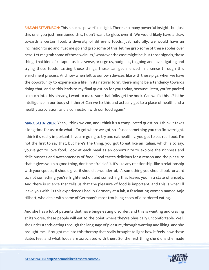**SHAWN STEVENSON:** This is such a powerful insight. There's so many powerful insights but just this one, you just mentioned this, I don't want to gloss over it. We would likely have a draw towards a certain food, a diversity of different foods, just naturally, we would have an inclination to go and, "Let me go and grab some of this, let me grab some of these apples over here. Let me grab some of these walnuts," whatever the case might be, but those signals, those things that kind of catapult us, in a sense, or urge us, nudge us, to going and investigating and trying those foods, tasting those things, those can get silenced in a sense through this enrichment process. And now when left to our own devices, like with these pigs, when we have the opportunity to experience a life, in its natural form, there might be a tendency towards doing that, and so this leads to my final question for you today, because listen, you've packed so much into this already, I want to make sure that folks get the book. Can we fix this is? Is the intelligence in our body still there? Can we fix this and actually get to a place of health and a healthy association, and a connection with our food again?

MARK SCHATZKER: Yeah, I think we can, and I think it's a complicated question. I think it takes a long time for us to do what... To got where we got, so it's not something you can fix overnight. I think it's really important. If you're going to try and eat healthily, you got to eat real food. I'm not the first to say that, but here's the thing, you got to eat like an Italian, which is to say, you've got to love food. Look at each meal as an opportunity to explore the richness and deliciousness and awesomeness of food. Food tastes delicious for a reason and the pleasure that it gives you is a good thing, don't be afraid of it. It's like any relationship, like a relationship with your spouse, it should give, it should be wonderful, it's something you should look forward to, not something you're frightened of, and something that leaves you in a state of anxiety. And there is science that tells us that the pleasure of food is important, and this is what I'll leave you with, is this experience I had in Germany at a lab, a fascinating women named Anja Hilbert, who deals with some of Germany's most troubling cases of disordered eating.

And she has a lot of patients that have binge eating disorder, and this is wanting and craving at its worse, these people will eat to the point where they're physically uncomfortable. Well, she understands eating through the language of pleasure, through wanting and liking, and she brought me... Brought me into this therapy that really brought to light how it feels, how these states feel, and what foods are associated with them. So, the first thing she did is she made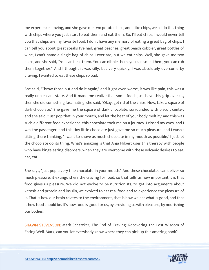me experience craving, and she gave me two potato chips, and I like chips, we all do this thing with chips where you just start to eat them and eat them. So, I'll eat chips, I would never tell you that chips are my favorite food. I don't have any memory of eating a great bag of chips. I can tell you about great steaks I've had, great peaches, great peach cobbler, great bottles of wine, I can't name a single bag of chips I ever ate, but we eat chips. Well, she gave me two chips, and she said, "You can't eat them. You can nibble them, you can smell them, you can rub them together." And I thought it was silly, but very quickly, I was absolutely overcome by craving, I wanted to eat these chips so bad.

She said, "Throw those out and do it again," and it got even worse, it was like pain, this was a really unpleasant state. And it made me realize that some foods just have this grip over us, then she did something fascinating, she said, "Okay, get rid of the chips. Now, take a square of dark chocolate." She gave me the square of dark chocolate, surrounded with biscuit center, and she said, "just pop that in your mouth, and let the heat of your body melt it," and this was such a different food experience, this chocolate took me on a journey. I closed my eyes, and I was the passenger, and this tiny little chocolate just gave me so much pleasure, and I wasn't sitting there thinking, "I want to shove as much chocolate in my mouth as possible," I just let the chocolate do its thing. What's amazing is that Anja Hilbert uses this therapy with people who have binge eating disorders, when they are overcome with these volcanic desires to eat, eat, eat.

She says, "Just pop a very fine chocolate in your mouth." And these chocolates can deliver so much pleasure, it extinguishers the craving for food, so that tells us how important it is that food gives us pleasure. We did not evolve to be nutritionists, to get into arguments about ketosis and protein and insulin, we evolved to eat real food and to experience the pleasure of it. That is how our brain relates to the environment, that is how we eat what is good, and that is how food should be. It's how food is good for us, by providing us with pleasure, by nourishing our bodies.

SHAWN STEVENSON: Mark Schatzker, The End of Craving: Recovering the Lost Wisdom of Eating Well. Mark, can you let everybody know where they can pick up this amazing book?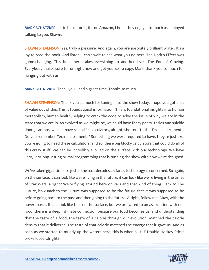MARK SCHATZKER: It's in bookstores, it's on Amazon, I hope they enjoy it as much as I enjoyed talking to you, Shawn.

**SHAWN STEVENSON:** Yes, truly a pleasure. And again, you are absolutely brilliant writer. It's a joy to read the book. And listen, I can't wait to see what you do next. The Dorito Effect was game-changing. This book here takes everything to another level, The End of Craving. Everybody makes sure to run right now and get yourself a copy. Mark, thank you so much for hanging out with us.

MARK SCHATZKER: Thank you. I had a great time. Thanks so much.

**SHAWN STEVENSON:** Thank you so much for tuning in to the show today. I hope you got a lot of value out of this. This is foundational information. This is foundational insights into human metabolism, human health, helping to crack the code to solve the issue of why we are in the state that we are in. As evolved as we might be, we could have fancy pants, Teslas and suicide doors, Lambos, we can have scientific calculators, alright, shot out to the Texas Instruments. Do you remember Texas Instruments? Something we were required to have, they're just like, you're going to need these calculators, and so, these big blocky calculators that could do all of this crazy stuff. We can be incredibly evolved on the surface with our technology. We have very, very long-lasting primal programming that is running the show with how we're designed.

We've taken gigantic leaps just in the past decades, as far as technology is concerned. So again, on the surface, it can look like we're living in the future, it can look like we're living in the times of Star Wars, alright? We're flying around here on cars and that kind of thing. Back to The Future, how Back to the Future was supposed to be the future that it was supposed to be before going back to the past and then going to the future. Alright, follow me. Okay, with the hoverboards. It can look like that on the surface, but we are wired to an association with our food, there is a deep intimate connection because our food becomes us, and understanding that the taste of a food, the taste of a calorie through our evolution, matched the calorie density that it delivered. The taste of that calorie matched the energy that it gave us. And as soon as we started to muddy up the waters here, this is when all H-E Double Hockey Sticks broke loose, alright?

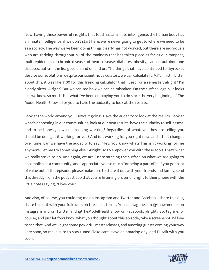Now, having these powerful insights, that food has an innate intelligence, the human body has an innate intelligence, if we don't start here, we're never going to get to where we need to be as a society. The way we've been doing things clearly has not worked, but there are individuals who are thriving throughout all of the madness that has taken place as far as our rampant, multi-epidemics of chronic disease, of heart disease, diabetes, obesity, cancer, autoimmune diseases, autism, the list goes on and on and on. The things that have continued to skyrocket despite our evolutions, despite our scientific calculators, we can calculate it. MIT, I'm still bitter about this, it was like \$100 for this freaking calculator that I used for a semester, alright? I'm clearly bitter. Alright? But we can see how we can be mistaken. On the surface, again, it looks like we know so much, but what I've been employing you to do since the very beginning of The Model Health Show is for you to have the audacity to look at the results.

Look at the world around you. How's it going? Have the audacity to look at the results. Look at what's happening in our communities, look at our own results, have the audacity to self-assess, and to be honest, is what I'm doing working? Regardless of whatever they are telling you should be doing, is it working for you? And is it working for you right now, and if that changes over time, can we have the audacity to say, "Hey, you know what? This isn't working for me anymore. Let me try something else." Alright, so to empower you with these tools, that's what we really strive to do. And again, we are just scratching the surface on what we are going to accomplish as a community, and I appreciate you so much for being a part of it. If you got a lot of value out of this episode, please make sure to share it out with your friends and family, send this directly from the podcast app that you're listening on, send it right to their phone with the little notes saying, "I love you."

And also, of course, you could tag me on Instagram and Twitter and Facebook, share this out, share this out with your followers on these platforms. You can tag me, I'm @shawnmodel on Instagram and on Twitter and @TheModelHealthShow on Facebook, alright? So, tag me, of course, and just let folks know what you thought about this episode, take a screenshot, I'd love to see that. And we've got some powerful masterclasses, and amazing guests coming your way very soon, so make sure to stay tuned. Take care. Have an amazing day, and I'll talk with you soon.